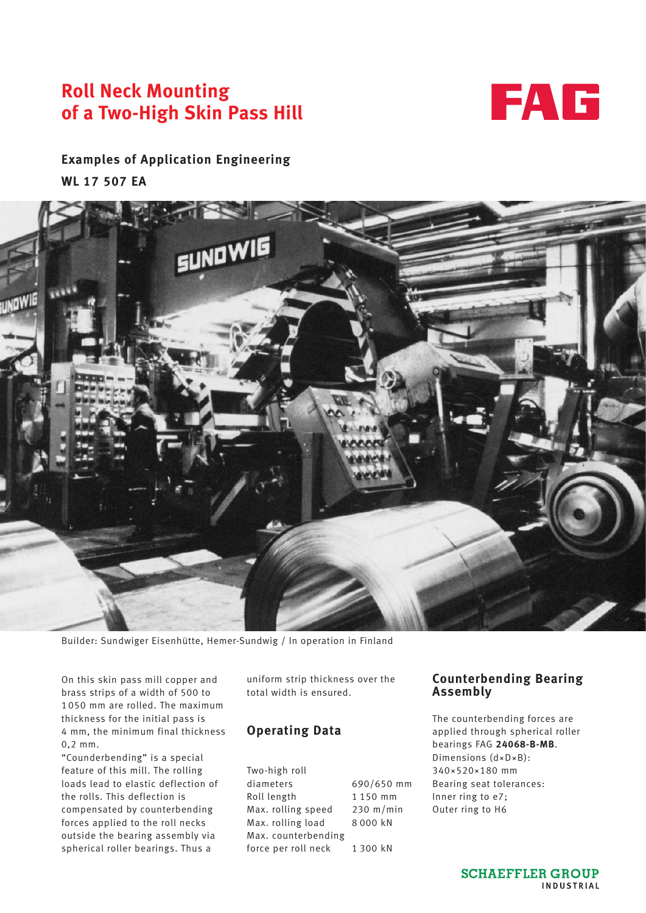# **Roll Neck Mounting of a Two-High Skin Pass Hill**



## **Examples of Application Engineering WL 17 507 EA**



Builder: Sundwiger Eisenhütte, Hemer-Sundwig / In operation in Finland

On this skin pass mill copper and brass strips of a width of 500 to 1050 mm are rolled. The maximum thickness for the initial pass is 4 mm, the minimum final thickness 0,2 mm.

"Counderbending" is a special feature of this mill. The rolling loads lead to elastic deflection of the rolls. This deflection is compensated by counterbending forces applied to the roll necks outside the bearing assembly via spherical roller bearings. Thus a

uniform strip thickness over the total width is ensured.

### **Operating Data**

Two-high roll diameters 690/650 mm Roll length 1 150 mm Max. rolling speed 230 m/min Max. rolling load 8000 kN Max. counterbending force per roll neck 1300 kN

#### **Counterbending Bearing Assembly**

The counterbending forces are applied through spherical roller bearings FAG **24068-B-MB**. Dimensions (d×D×B): 340~520~180 mm Bearing seat tolerances: Inner ring to e7; Outer ring to H6